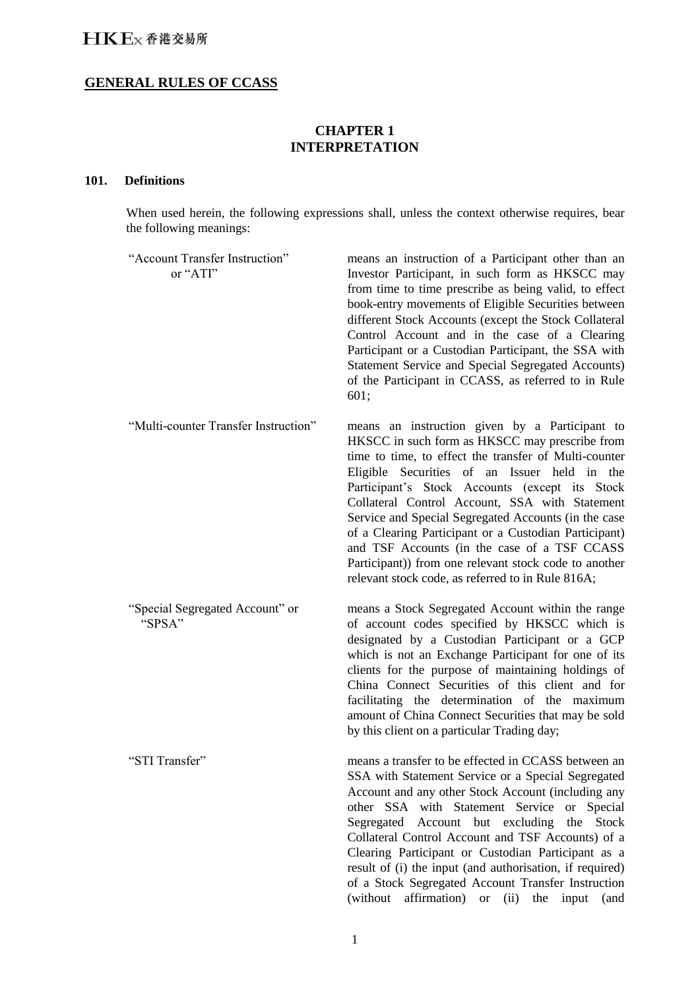## **GENERAL RULES OF CCASS**

## **CHAPTER 1 INTERPRETATION**

## **101. Definitions**

When used herein, the following expressions shall, unless the context otherwise requires, bear the following meanings:

| "Account Transfer Instruction"<br>or "ATI" | means an instruction of a Participant other than an<br>Investor Participant, in such form as HKSCC may<br>from time to time prescribe as being valid, to effect<br>book-entry movements of Eligible Securities between<br>different Stock Accounts (except the Stock Collateral<br>Control Account and in the case of a Clearing<br>Participant or a Custodian Participant, the SSA with<br>Statement Service and Special Segregated Accounts)<br>of the Participant in CCASS, as referred to in Rule<br>601;                                                                                |
|--------------------------------------------|----------------------------------------------------------------------------------------------------------------------------------------------------------------------------------------------------------------------------------------------------------------------------------------------------------------------------------------------------------------------------------------------------------------------------------------------------------------------------------------------------------------------------------------------------------------------------------------------|
| "Multi-counter Transfer Instruction"       | means an instruction given by a Participant to<br>HKSCC in such form as HKSCC may prescribe from<br>time to time, to effect the transfer of Multi-counter<br>Eligible Securities of an Issuer held in the<br>Participant's Stock Accounts (except its Stock<br>Collateral Control Account, SSA with Statement<br>Service and Special Segregated Accounts (in the case<br>of a Clearing Participant or a Custodian Participant)<br>and TSF Accounts (in the case of a TSF CCASS<br>Participant)) from one relevant stock code to another<br>relevant stock code, as referred to in Rule 816A; |
| "Special Segregated Account" or<br>"SPSA"  | means a Stock Segregated Account within the range<br>of account codes specified by HKSCC which is<br>designated by a Custodian Participant or a GCP<br>which is not an Exchange Participant for one of its<br>clients for the purpose of maintaining holdings of<br>China Connect Securities of this client and for<br>facilitating the determination of the maximum<br>amount of China Connect Securities that may be sold<br>by this client on a particular Trading day;                                                                                                                   |
| "STI Transfer"                             | means a transfer to be effected in CCASS between an<br>SSA with Statement Service or a Special Segregated<br>Account and any other Stock Account (including any<br>other SSA with Statement Service or Special<br>Account but excluding<br>Segregated<br>the Stock<br>Collateral Control Account and TSF Accounts) of a<br>Clearing Participant or Custodian Participant as a<br>result of (i) the input (and authorisation, if required)<br>of a Stock Segregated Account Transfer Instruction<br>(without)<br>affirmation)<br>or $(ii)$<br>the input<br>(and                               |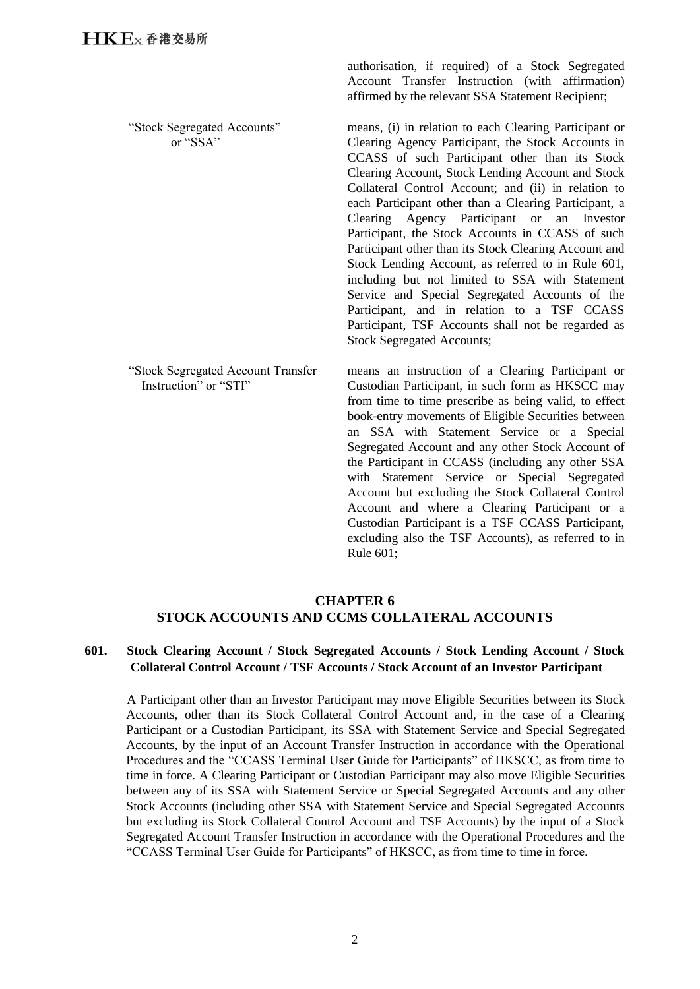"Stock Segregated Accounts" or "SSA"

authorisation, if required) of a Stock Segregated Account Transfer Instruction (with affirmation) affirmed by the relevant SSA Statement Recipient;

means, (i) in relation to each Clearing Participant or Clearing Agency Participant, the Stock Accounts in CCASS of such Participant other than its Stock Clearing Account, Stock Lending Account and Stock Collateral Control Account; and (ii) in relation to each Participant other than a Clearing Participant, a Clearing Agency Participant or an Investor Participant, the Stock Accounts in CCASS of such Participant other than its Stock Clearing Account and Stock Lending Account, as referred to in Rule 601, including but not limited to SSA with Statement Service and Special Segregated Accounts of the Participant, and in relation to a TSF CCASS Participant, TSF Accounts shall not be regarded as Stock Segregated Accounts;

"Stock Segregated Account Transfer Instruction" or "STI" means an instruction of a Clearing Participant or Custodian Participant, in such form as HKSCC may from time to time prescribe as being valid, to effect book-entry movements of Eligible Securities between an SSA with Statement Service or a Special Segregated Account and any other Stock Account of the Participant in CCASS (including any other SSA with Statement Service or Special Segregated Account but excluding the Stock Collateral Control Account and where a Clearing Participant or a Custodian Participant is a TSF CCASS Participant, excluding also the TSF Accounts), as referred to in Rule 601;

## **CHAPTER 6 STOCK ACCOUNTS AND CCMS COLLATERAL ACCOUNTS**

## **601. Stock Clearing Account / Stock Segregated Accounts / Stock Lending Account / Stock Collateral Control Account / TSF Accounts / Stock Account of an Investor Participant**

A Participant other than an Investor Participant may move Eligible Securities between its Stock Accounts, other than its Stock Collateral Control Account and, in the case of a Clearing Participant or a Custodian Participant, its SSA with Statement Service and Special Segregated Accounts, by the input of an Account Transfer Instruction in accordance with the Operational Procedures and the "CCASS Terminal User Guide for Participants" of HKSCC, as from time to time in force. A Clearing Participant or Custodian Participant may also move Eligible Securities between any of its SSA with Statement Service or Special Segregated Accounts and any other Stock Accounts (including other SSA with Statement Service and Special Segregated Accounts but excluding its Stock Collateral Control Account and TSF Accounts) by the input of a Stock Segregated Account Transfer Instruction in accordance with the Operational Procedures and the "CCASS Terminal User Guide for Participants" of HKSCC, as from time to time in force.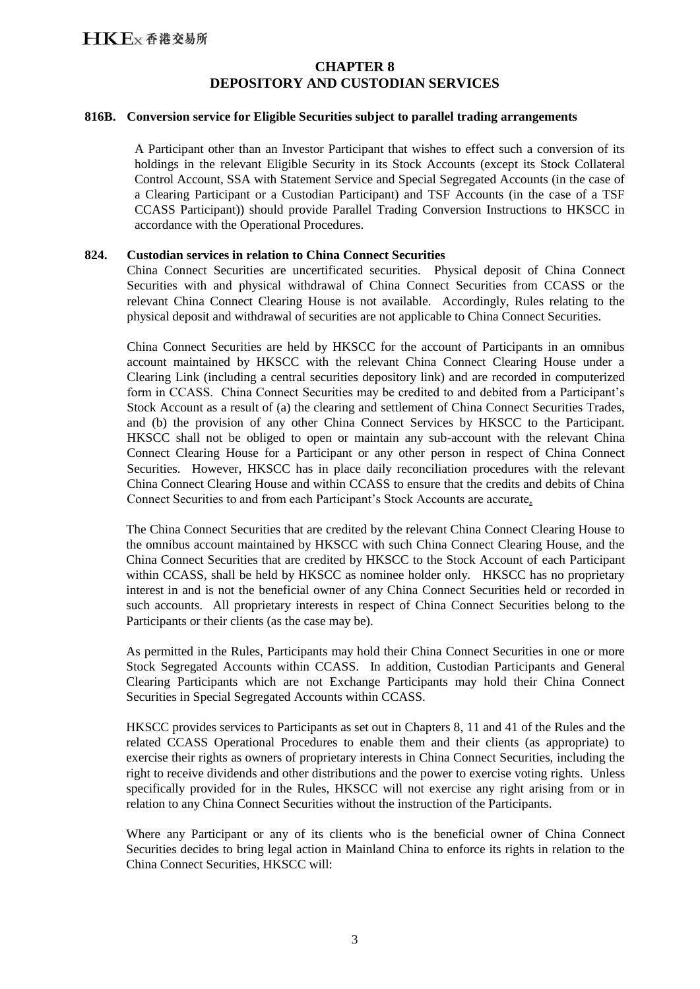## **CHAPTER 8 DEPOSITORY AND CUSTODIAN SERVICES**

#### **816B. Conversion service for Eligible Securities subject to parallel trading arrangements**

A Participant other than an Investor Participant that wishes to effect such a conversion of its holdings in the relevant Eligible Security in its Stock Accounts (except its Stock Collateral Control Account, SSA with Statement Service and Special Segregated Accounts (in the case of a Clearing Participant or a Custodian Participant) and TSF Accounts (in the case of a TSF CCASS Participant)) should provide Parallel Trading Conversion Instructions to HKSCC in accordance with the Operational Procedures.

#### **824. Custodian services in relation to China Connect Securities**

China Connect Securities are uncertificated securities. Physical deposit of China Connect Securities with and physical withdrawal of China Connect Securities from CCASS or the relevant China Connect Clearing House is not available. Accordingly, Rules relating to the physical deposit and withdrawal of securities are not applicable to China Connect Securities.

China Connect Securities are held by HKSCC for the account of Participants in an omnibus account maintained by HKSCC with the relevant China Connect Clearing House under a Clearing Link (including a central securities depository link) and are recorded in computerized form in CCASS. China Connect Securities may be credited to and debited from a Participant's Stock Account as a result of (a) the clearing and settlement of China Connect Securities Trades, and (b) the provision of any other China Connect Services by HKSCC to the Participant. HKSCC shall not be obliged to open or maintain any sub-account with the relevant China Connect Clearing House for a Participant or any other person in respect of China Connect Securities. However, HKSCC has in place daily reconciliation procedures with the relevant China Connect Clearing House and within CCASS to ensure that the credits and debits of China Connect Securities to and from each Participant's Stock Accounts are accurate.

The China Connect Securities that are credited by the relevant China Connect Clearing House to the omnibus account maintained by HKSCC with such China Connect Clearing House, and the China Connect Securities that are credited by HKSCC to the Stock Account of each Participant within CCASS, shall be held by HKSCC as nominee holder only. HKSCC has no proprietary interest in and is not the beneficial owner of any China Connect Securities held or recorded in such accounts. All proprietary interests in respect of China Connect Securities belong to the Participants or their clients (as the case may be).

As permitted in the Rules, Participants may hold their China Connect Securities in one or more Stock Segregated Accounts within CCASS. In addition, Custodian Participants and General Clearing Participants which are not Exchange Participants may hold their China Connect Securities in Special Segregated Accounts within CCASS.

HKSCC provides services to Participants as set out in Chapters 8, 11 and 41 of the Rules and the related CCASS Operational Procedures to enable them and their clients (as appropriate) to exercise their rights as owners of proprietary interests in China Connect Securities, including the right to receive dividends and other distributions and the power to exercise voting rights. Unless specifically provided for in the Rules, HKSCC will not exercise any right arising from or in relation to any China Connect Securities without the instruction of the Participants.

Where any Participant or any of its clients who is the beneficial owner of China Connect Securities decides to bring legal action in Mainland China to enforce its rights in relation to the China Connect Securities, HKSCC will: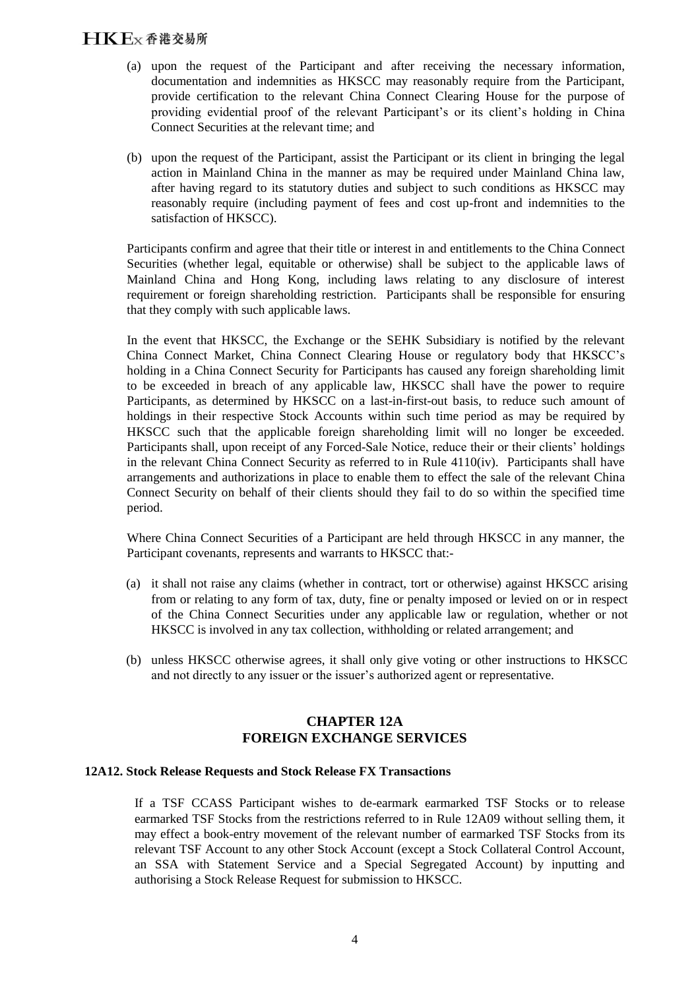# 5

- (a) upon the request of the Participant and after receiving the necessary information, documentation and indemnities as HKSCC may reasonably require from the Participant, provide certification to the relevant China Connect Clearing House for the purpose of providing evidential proof of the relevant Participant's or its client's holding in China Connect Securities at the relevant time; and
- (b) upon the request of the Participant, assist the Participant or its client in bringing the legal action in Mainland China in the manner as may be required under Mainland China law, after having regard to its statutory duties and subject to such conditions as HKSCC may reasonably require (including payment of fees and cost up-front and indemnities to the satisfaction of HKSCC).

Participants confirm and agree that their title or interest in and entitlements to the China Connect Securities (whether legal, equitable or otherwise) shall be subject to the applicable laws of Mainland China and Hong Kong, including laws relating to any disclosure of interest requirement or foreign shareholding restriction. Participants shall be responsible for ensuring that they comply with such applicable laws.

In the event that HKSCC, the Exchange or the SEHK Subsidiary is notified by the relevant China Connect Market, China Connect Clearing House or regulatory body that HKSCC's holding in a China Connect Security for Participants has caused any foreign shareholding limit to be exceeded in breach of any applicable law, HKSCC shall have the power to require Participants, as determined by HKSCC on a last-in-first-out basis, to reduce such amount of holdings in their respective Stock Accounts within such time period as may be required by HKSCC such that the applicable foreign shareholding limit will no longer be exceeded. Participants shall, upon receipt of any Forced-Sale Notice, reduce their or their clients' holdings in the relevant China Connect Security as referred to in Rule 4110(iv). Participants shall have arrangements and authorizations in place to enable them to effect the sale of the relevant China Connect Security on behalf of their clients should they fail to do so within the specified time period.

Where China Connect Securities of a Participant are held through HKSCC in any manner, the Participant covenants, represents and warrants to HKSCC that:-

- (a) it shall not raise any claims (whether in contract, tort or otherwise) against HKSCC arising from or relating to any form of tax, duty, fine or penalty imposed or levied on or in respect of the China Connect Securities under any applicable law or regulation, whether or not HKSCC is involved in any tax collection, withholding or related arrangement; and
- (b) unless HKSCC otherwise agrees, it shall only give voting or other instructions to HKSCC and not directly to any issuer or the issuer's authorized agent or representative.

#### **CHAPTER 12A FOREIGN EXCHANGE SERVICES**

#### **12A12. Stock Release Requests and Stock Release FX Transactions**

If a TSF CCASS Participant wishes to de-earmark earmarked TSF Stocks or to release earmarked TSF Stocks from the restrictions referred to in Rule 12A09 without selling them, it may effect a book-entry movement of the relevant number of earmarked TSF Stocks from its relevant TSF Account to any other Stock Account (except a Stock Collateral Control Account, an SSA with Statement Service and a Special Segregated Account) by inputting and authorising a Stock Release Request for submission to HKSCC.